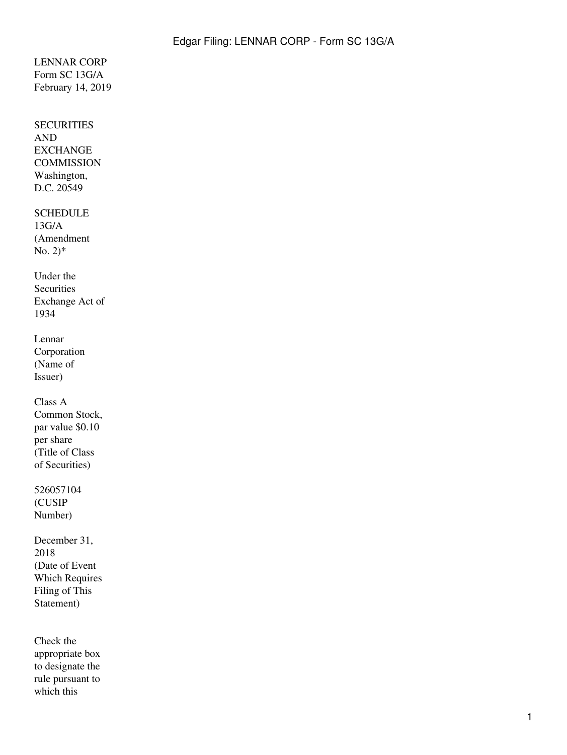### LENNAR CORP Form SC 13G/A February 14, 2019

# **SECURITIES** AND EXCHANGE **COMMISSION** Washington, D.C. 20549 **SCHEDULE** 13G/A (Amendment No.  $2$ <sup>\*</sup> Under the **Securities** Exchange Act of 1934 Lennar Corporation (Name of Issuer) Class A Common Stock, par value \$0.10 per share (Title of Class of Securities) 526057104 (CUSIP Number) December 31, 2018 (Date of Event Which Requires Filing of This Statement) Check the appropriate box to designate the rule pursuant to which this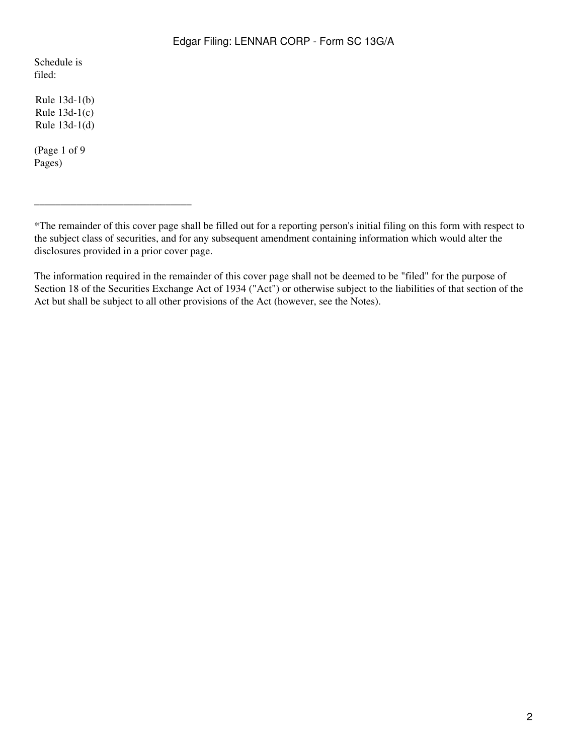Schedule is filed:

Rule 13d-1(b) Rule 13d-1(c) Rule 13d-1(d)

(Page 1 of 9 Pages)

\_\_\_\_\_\_\_\_\_\_\_\_\_\_\_\_\_\_\_\_\_\_\_\_\_\_\_\_\_\_

The information required in the remainder of this cover page shall not be deemed to be "filed" for the purpose of Section 18 of the Securities Exchange Act of 1934 ("Act") or otherwise subject to the liabilities of that section of the Act but shall be subject to all other provisions of the Act (however, see the Notes).

<sup>\*</sup>The remainder of this cover page shall be filled out for a reporting person's initial filing on this form with respect to the subject class of securities, and for any subsequent amendment containing information which would alter the disclosures provided in a prior cover page.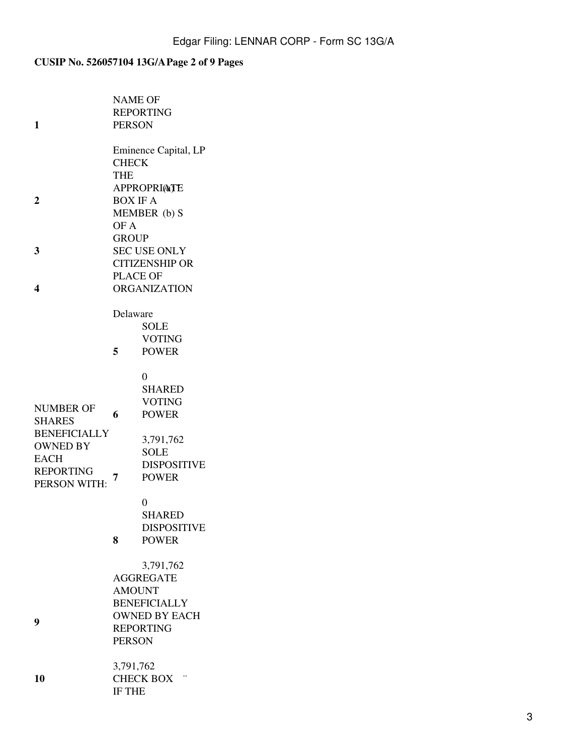# **CUSIP No. 526057104 13G/APage 2 of 9 Pages**

|                     | <b>NAME OF</b>        |                               |  |  |
|---------------------|-----------------------|-------------------------------|--|--|
|                     | <b>REPORTING</b>      |                               |  |  |
| 1                   | <b>PERSON</b>         |                               |  |  |
|                     |                       |                               |  |  |
|                     | Eminence Capital, LP  |                               |  |  |
|                     | <b>CHECK</b>          |                               |  |  |
|                     | <b>THE</b>            |                               |  |  |
|                     | <b>APPROPRIATE</b>    |                               |  |  |
| 2                   | <b>BOX IF A</b>       |                               |  |  |
|                     | MEMBER (b) S          |                               |  |  |
|                     | OF A                  |                               |  |  |
|                     | <b>GROUP</b>          |                               |  |  |
| 3                   | <b>SEC USE ONLY</b>   |                               |  |  |
|                     | <b>CITIZENSHIP OR</b> |                               |  |  |
|                     | <b>PLACE OF</b>       |                               |  |  |
| 4                   | <b>ORGANIZATION</b>   |                               |  |  |
|                     |                       |                               |  |  |
|                     | Delaware              |                               |  |  |
|                     |                       | <b>SOLE</b>                   |  |  |
|                     | 5                     | <b>VOTING</b>                 |  |  |
|                     |                       | <b>POWER</b>                  |  |  |
|                     |                       |                               |  |  |
|                     |                       | $\theta$                      |  |  |
|                     |                       | <b>SHARED</b>                 |  |  |
| <b>NUMBER OF</b>    | 6                     | <b>VOTING</b>                 |  |  |
| <b>SHARES</b>       |                       | <b>POWER</b>                  |  |  |
| <b>BENEFICIALLY</b> |                       |                               |  |  |
| <b>OWNED BY</b>     |                       | 3,791,762                     |  |  |
| <b>EACH</b>         |                       | <b>SOLE</b>                   |  |  |
| <b>REPORTING</b>    | <b>DISPOSITIVE</b>    |                               |  |  |
| PERSON WITH:        | <b>POWER</b><br>7     |                               |  |  |
|                     |                       |                               |  |  |
|                     |                       | 0                             |  |  |
|                     |                       | <b>SHARED</b>                 |  |  |
|                     |                       | <b>DISPOSITIVE</b>            |  |  |
|                     | 8                     | <b>POWER</b>                  |  |  |
|                     |                       |                               |  |  |
|                     |                       | 3,791,762<br><b>AGGREGATE</b> |  |  |
|                     | <b>AMOUNT</b>         |                               |  |  |
|                     | <b>BENEFICIALLY</b>   |                               |  |  |
|                     | <b>OWNED BY EACH</b>  |                               |  |  |
| 9                   | <b>REPORTING</b>      |                               |  |  |
|                     | <b>PERSON</b>         |                               |  |  |
|                     |                       |                               |  |  |
|                     | 3,791,762             |                               |  |  |
| 10                  | <b>CHECK BOX</b>      |                               |  |  |
|                     | IF THE                |                               |  |  |
|                     |                       |                               |  |  |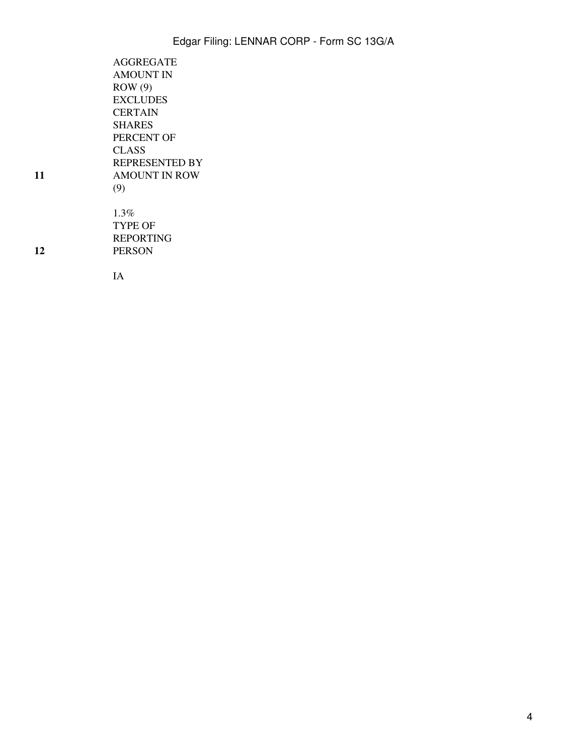4

| AGGREGATE<br><b>AMOUNT IN</b> |
|-------------------------------|
| ROW(9)                        |
| <b>EXCLUDES</b>               |
| <b>CERTAIN</b>                |
| <b>SHARES</b>                 |
| PERCENT OF                    |
| CLASS                         |
| <b>REPRESENTED BY</b>         |
| <b>AMOUNT IN ROW</b>          |
| (9)                           |
|                               |
| 1.3%                          |
| TYPE OF                       |
| REPORTING                     |

PERSON

IA

**11**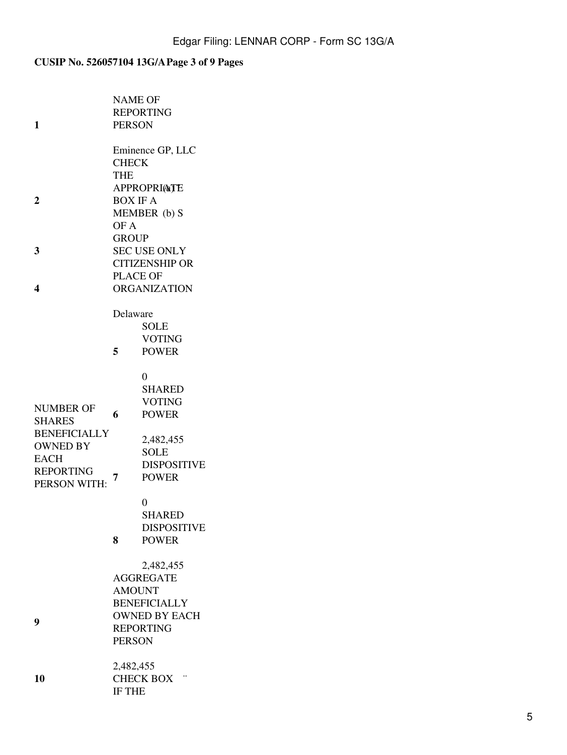# **CUSIP No. 526057104 13G/APage 3 of 9 Pages**

|                                  | <b>NAME OF</b><br><b>REPORTING</b>          |                                    |  |  |
|----------------------------------|---------------------------------------------|------------------------------------|--|--|
| 1                                | <b>PERSON</b>                               |                                    |  |  |
|                                  |                                             |                                    |  |  |
|                                  | Eminence GP, LLC                            |                                    |  |  |
|                                  | <b>CHECK</b>                                |                                    |  |  |
|                                  | <b>THE</b>                                  |                                    |  |  |
| $\overline{2}$                   | <b>APPROPRIATE</b><br><b>BOX IF A</b>       |                                    |  |  |
|                                  | MEMBER (b) S                                |                                    |  |  |
|                                  | OF A                                        |                                    |  |  |
|                                  | <b>GROUP</b>                                |                                    |  |  |
| 3                                | <b>SEC USE ONLY</b>                         |                                    |  |  |
|                                  | <b>CITIZENSHIP OR</b>                       |                                    |  |  |
|                                  | <b>PLACE OF</b>                             |                                    |  |  |
| 4                                | <b>ORGANIZATION</b>                         |                                    |  |  |
|                                  | Delaware                                    |                                    |  |  |
|                                  |                                             | <b>SOLE</b>                        |  |  |
|                                  |                                             | <b>VOTING</b>                      |  |  |
|                                  | 5                                           | <b>POWER</b>                       |  |  |
|                                  |                                             |                                    |  |  |
|                                  |                                             | $\theta$                           |  |  |
|                                  |                                             | <b>SHARED</b><br><b>VOTING</b>     |  |  |
| <b>NUMBER OF</b>                 | 6                                           | <b>POWER</b>                       |  |  |
| <b>SHARES</b>                    |                                             |                                    |  |  |
| <b>BENEFICIALLY</b>              |                                             | 2,482,455                          |  |  |
| <b>OWNED BY</b>                  |                                             | <b>SOLE</b>                        |  |  |
| <b>EACH</b>                      |                                             | <b>DISPOSITIVE</b>                 |  |  |
| <b>REPORTING</b><br>PERSON WITH: | 7                                           | <b>POWER</b>                       |  |  |
|                                  |                                             |                                    |  |  |
|                                  |                                             | 0                                  |  |  |
|                                  |                                             | <b>SHARED</b>                      |  |  |
|                                  | 8                                           | <b>DISPOSITIVE</b><br><b>POWER</b> |  |  |
|                                  |                                             |                                    |  |  |
|                                  |                                             | 2,482,455                          |  |  |
|                                  | <b>AGGREGATE</b>                            |                                    |  |  |
|                                  | <b>AMOUNT</b>                               |                                    |  |  |
|                                  | <b>BENEFICIALLY</b><br><b>OWNED BY EACH</b> |                                    |  |  |
| 9                                |                                             |                                    |  |  |
|                                  | <b>REPORTING</b><br><b>PERSON</b>           |                                    |  |  |
|                                  |                                             |                                    |  |  |
|                                  | 2,482,455                                   |                                    |  |  |
| 10                               | <b>CHECK BOX</b>                            |                                    |  |  |
|                                  | IF THE                                      |                                    |  |  |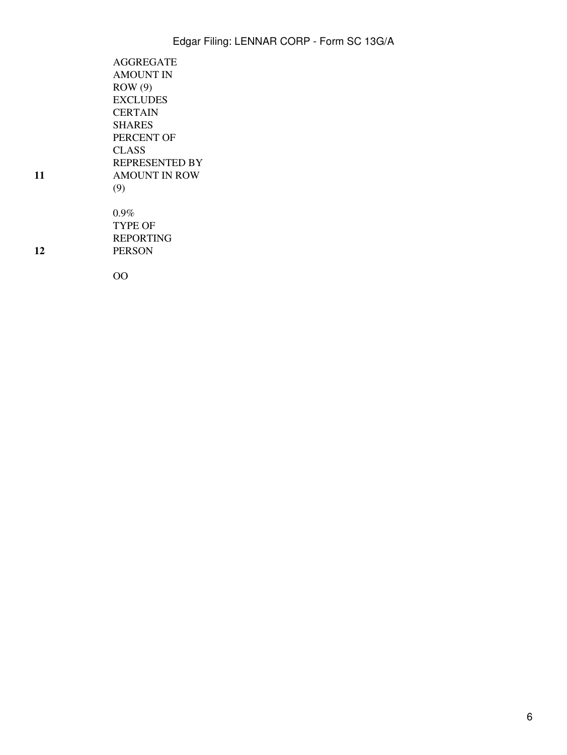| AGGREGATE             |  |
|-----------------------|--|
| <b>AMOUNT IN</b>      |  |
| ROW(9)                |  |
| <b>EXCLUDES</b>       |  |
| CERTAIN               |  |
| <b>SHARES</b>         |  |
| PERCENT OF            |  |
| CLASS                 |  |
| <b>REPRESENTED BY</b> |  |
| <b>AMOUNT IN ROW</b>  |  |
| (9)                   |  |
|                       |  |
| $0.9\%$               |  |
| TYPE OF               |  |
| <b>REPORTING</b>      |  |
| <b>PERSON</b>         |  |

**11**

**12**

OO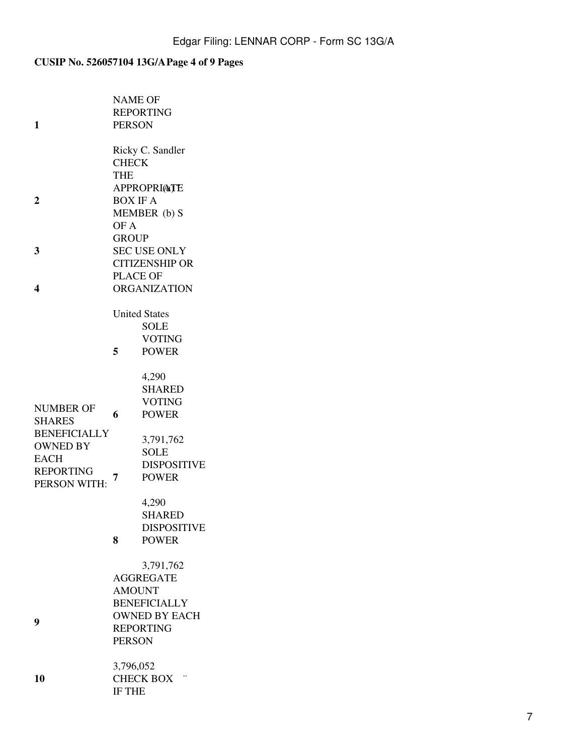# **CUSIP No. 526057104 13G/APage 4 of 9 Pages**

|                                                                                                                       | <b>NAME OF</b><br><b>REPORTING</b> |                                                                                                                                |  |  |
|-----------------------------------------------------------------------------------------------------------------------|------------------------------------|--------------------------------------------------------------------------------------------------------------------------------|--|--|
| 1                                                                                                                     | <b>PERSON</b>                      |                                                                                                                                |  |  |
|                                                                                                                       |                                    | Ricky C. Sandler                                                                                                               |  |  |
|                                                                                                                       | <b>CHECK</b>                       |                                                                                                                                |  |  |
|                                                                                                                       | <b>THE</b>                         |                                                                                                                                |  |  |
|                                                                                                                       | <b>APPROPRIATE</b>                 |                                                                                                                                |  |  |
| $\mathbf 2$                                                                                                           | <b>BOX IF A</b>                    |                                                                                                                                |  |  |
|                                                                                                                       | MEMBER (b) S                       |                                                                                                                                |  |  |
|                                                                                                                       | OF A                               |                                                                                                                                |  |  |
|                                                                                                                       | <b>GROUP</b>                       |                                                                                                                                |  |  |
| 3                                                                                                                     | <b>SEC USE ONLY</b>                |                                                                                                                                |  |  |
|                                                                                                                       | <b>CITIZENSHIP OR</b>              |                                                                                                                                |  |  |
|                                                                                                                       | <b>PLACE OF</b>                    |                                                                                                                                |  |  |
| 4                                                                                                                     | <b>ORGANIZATION</b>                |                                                                                                                                |  |  |
|                                                                                                                       |                                    | <b>United States</b>                                                                                                           |  |  |
|                                                                                                                       |                                    | <b>SOLE</b>                                                                                                                    |  |  |
|                                                                                                                       |                                    | <b>VOTING</b>                                                                                                                  |  |  |
|                                                                                                                       | 5                                  | <b>POWER</b>                                                                                                                   |  |  |
|                                                                                                                       |                                    |                                                                                                                                |  |  |
|                                                                                                                       |                                    | 4,290                                                                                                                          |  |  |
|                                                                                                                       |                                    | <b>SHARED</b>                                                                                                                  |  |  |
| <b>NUMBER OF</b>                                                                                                      |                                    | <b>VOTING</b>                                                                                                                  |  |  |
|                                                                                                                       | 6                                  | <b>POWER</b>                                                                                                                   |  |  |
|                                                                                                                       |                                    |                                                                                                                                |  |  |
|                                                                                                                       |                                    |                                                                                                                                |  |  |
|                                                                                                                       |                                    |                                                                                                                                |  |  |
|                                                                                                                       |                                    |                                                                                                                                |  |  |
|                                                                                                                       | 7                                  |                                                                                                                                |  |  |
|                                                                                                                       |                                    |                                                                                                                                |  |  |
|                                                                                                                       |                                    |                                                                                                                                |  |  |
|                                                                                                                       |                                    |                                                                                                                                |  |  |
|                                                                                                                       |                                    |                                                                                                                                |  |  |
|                                                                                                                       |                                    |                                                                                                                                |  |  |
|                                                                                                                       |                                    | 3,791,762                                                                                                                      |  |  |
|                                                                                                                       | <b>AGGREGATE</b>                   |                                                                                                                                |  |  |
|                                                                                                                       | <b>AMOUNT</b>                      |                                                                                                                                |  |  |
|                                                                                                                       | <b>BENEFICIALLY</b>                |                                                                                                                                |  |  |
|                                                                                                                       | <b>OWNED BY EACH</b>               |                                                                                                                                |  |  |
|                                                                                                                       | <b>REPORTING</b>                   |                                                                                                                                |  |  |
|                                                                                                                       | <b>PERSON</b>                      |                                                                                                                                |  |  |
|                                                                                                                       | 3,796,052                          |                                                                                                                                |  |  |
|                                                                                                                       | <b>CHECK BOX</b>                   |                                                                                                                                |  |  |
|                                                                                                                       | IF THE                             |                                                                                                                                |  |  |
| <b>SHARES</b><br><b>BENEFICIALLY</b><br><b>OWNED BY</b><br><b>EACH</b><br><b>REPORTING</b><br>PERSON WITH:<br>9<br>10 | 8                                  | 3,791,762<br><b>SOLE</b><br><b>DISPOSITIVE</b><br><b>POWER</b><br>4,290<br><b>SHARED</b><br><b>DISPOSITIVE</b><br><b>POWER</b> |  |  |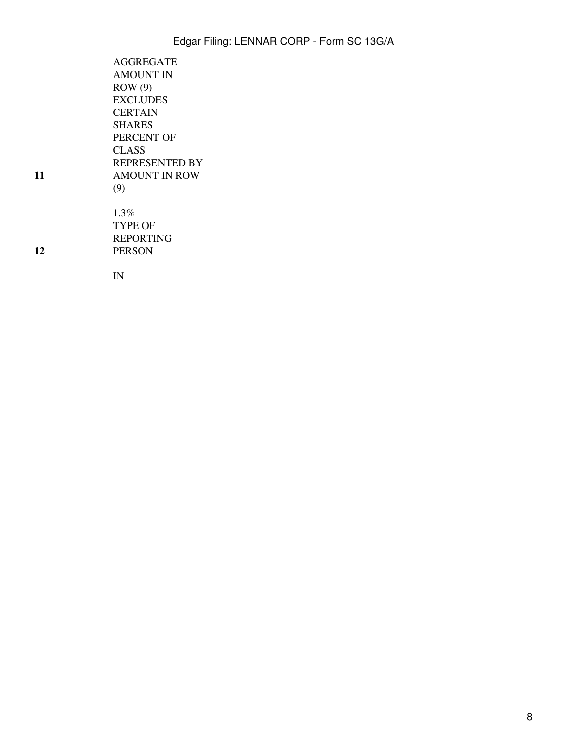| <b>AGGREGATE</b><br><b>AMOUNT IN</b> |
|--------------------------------------|
| ROW(9)                               |
| <b>EXCLUDES</b>                      |
| <b>CERTAIN</b>                       |
| <b>SHARES</b>                        |
| PERCENT OF                           |
| CLASS                                |
| REPRESENTED BY                       |
| <b>AMOUNT IN ROW</b>                 |
| (9)                                  |
|                                      |
| $1.3\%$                              |
| TYPE OF                              |
| <b>REPORTING</b>                     |

**11**

**12**

IN

PERSON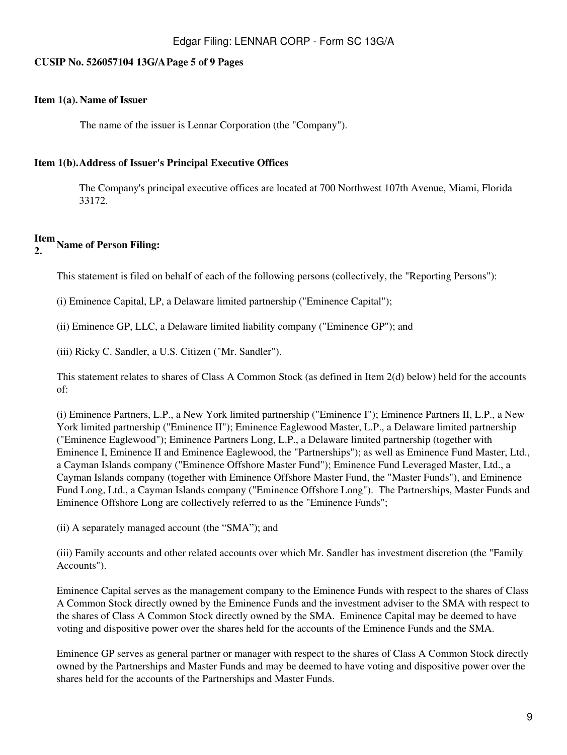### **CUSIP No. 526057104 13G/APage 5 of 9 Pages**

### **Item 1(a). Name of Issuer**

The name of the issuer is Lennar Corporation (the "Company").

### **Item 1(b).Address of Issuer's Principal Executive Offices**

The Company's principal executive offices are located at 700 Northwest 107th Avenue, Miami, Florida 33172.

# **Item 2. Name of Person Filing:**

This statement is filed on behalf of each of the following persons (collectively, the "Reporting Persons"):

(i) Eminence Capital, LP, a Delaware limited partnership ("Eminence Capital");

(ii) Eminence GP, LLC, a Delaware limited liability company ("Eminence GP"); and

(iii) Ricky C. Sandler, a U.S. Citizen ("Mr. Sandler").

This statement relates to shares of Class A Common Stock (as defined in Item 2(d) below) held for the accounts of:

(i) Eminence Partners, L.P., a New York limited partnership ("Eminence I"); Eminence Partners II, L.P., a New York limited partnership ("Eminence II"); Eminence Eaglewood Master, L.P., a Delaware limited partnership ("Eminence Eaglewood"); Eminence Partners Long, L.P., a Delaware limited partnership (together with Eminence I, Eminence II and Eminence Eaglewood, the "Partnerships"); as well as Eminence Fund Master, Ltd., a Cayman Islands company ("Eminence Offshore Master Fund"); Eminence Fund Leveraged Master, Ltd., a Cayman Islands company (together with Eminence Offshore Master Fund, the "Master Funds"), and Eminence Fund Long, Ltd., a Cayman Islands company ("Eminence Offshore Long"). The Partnerships, Master Funds and Eminence Offshore Long are collectively referred to as the "Eminence Funds";

(ii) A separately managed account (the "SMA"); and

(iii) Family accounts and other related accounts over which Mr. Sandler has investment discretion (the "Family Accounts").

Eminence Capital serves as the management company to the Eminence Funds with respect to the shares of Class A Common Stock directly owned by the Eminence Funds and the investment adviser to the SMA with respect to the shares of Class A Common Stock directly owned by the SMA. Eminence Capital may be deemed to have voting and dispositive power over the shares held for the accounts of the Eminence Funds and the SMA.

Eminence GP serves as general partner or manager with respect to the shares of Class A Common Stock directly owned by the Partnerships and Master Funds and may be deemed to have voting and dispositive power over the shares held for the accounts of the Partnerships and Master Funds.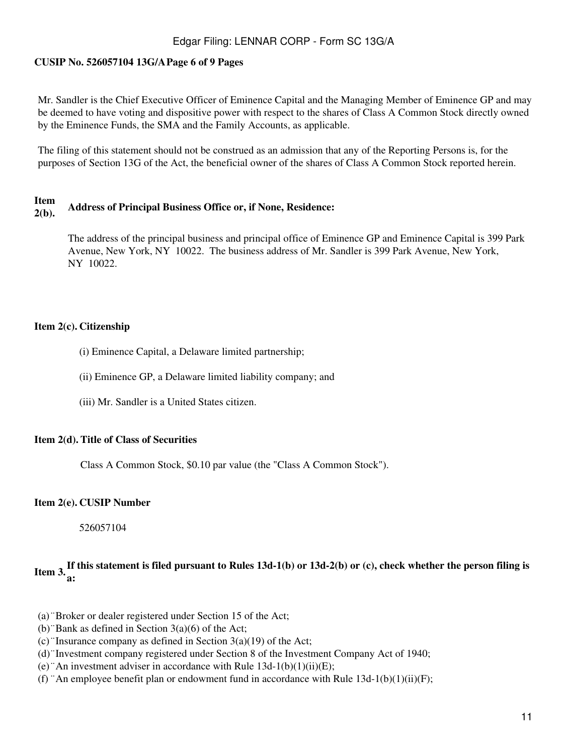### **CUSIP No. 526057104 13G/APage 6 of 9 Pages**

Mr. Sandler is the Chief Executive Officer of Eminence Capital and the Managing Member of Eminence GP and may be deemed to have voting and dispositive power with respect to the shares of Class A Common Stock directly owned by the Eminence Funds, the SMA and the Family Accounts, as applicable.

The filing of this statement should not be construed as an admission that any of the Reporting Persons is, for the purposes of Section 13G of the Act, the beneficial owner of the shares of Class A Common Stock reported herein.

### **Item 2(b). Address of Principal Business Office or, if None, Residence:**

The address of the principal business and principal office of Eminence GP and Eminence Capital is 399 Park Avenue, New York, NY 10022. The business address of Mr. Sandler is 399 Park Avenue, New York, NY 10022.

### **Item 2(c). Citizenship**

- (i) Eminence Capital, a Delaware limited partnership;
- (ii) Eminence GP, a Delaware limited liability company; and
- (iii) Mr. Sandler is a United States citizen.

### **Item 2(d). Title of Class of Securities**

Class A Common Stock, \$0.10 par value (the "Class A Common Stock").

### **Item 2(e). CUSIP Number**

526057104

# **Item 3.If this statement is filed pursuant to Rules 13d-1(b) or 13d-2(b) or (c), check whether the person filing is a:**

- (a)¨Broker or dealer registered under Section 15 of the Act;
- (b) "Bank as defined in Section  $3(a)(6)$  of the Act;
- (c) "Insurance company as defined in Section  $3(a)(19)$  of the Act;
- (d)¨Investment company registered under Section 8 of the Investment Company Act of 1940;
- (e) "An investment adviser in accordance with Rule  $13d-1(b)(1)(ii)(E)$ ;
- (f) "An employee benefit plan or endowment fund in accordance with Rule  $13d-1(b)(1)(ii)(F)$ ;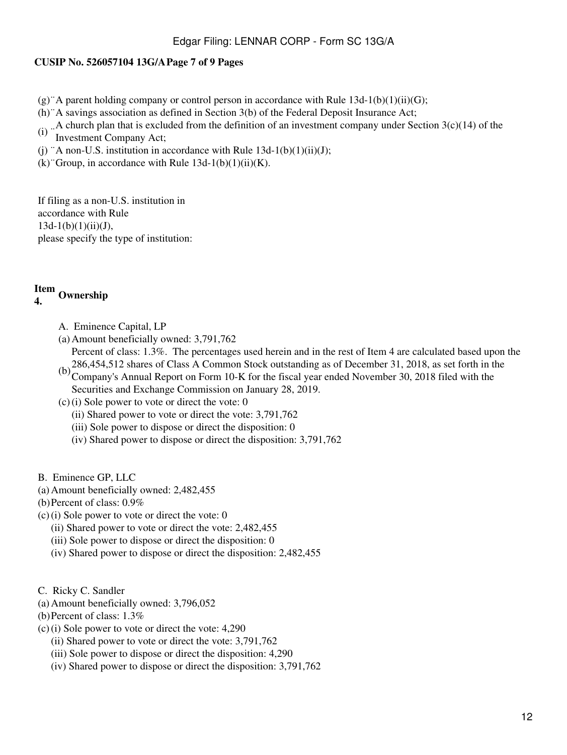### **CUSIP No. 526057104 13G/APage 7 of 9 Pages**

- $(g)$  A parent holding company or control person in accordance with Rule 13d-1(b)(1)(ii)(G);
- (h)¨A savings association as defined in Section 3(b) of the Federal Deposit Insurance Act;
- (i)  $\therefore$  A church plan that is excluded from the definition of an investment company under Section 3(c)(14) of the Investment Company Acts Investment Company Act;
- (j) "A non-U.S. institution in accordance with Rule  $13d-1(b)(1)(ii)(J)$ ;
- $(k)$  Group, in accordance with Rule 13d-1(b)(1)(ii)(K).

If filing as a non-U.S. institution in accordance with Rule  $13d-1(b)(1)(ii)(J),$ please specify the type of institution:

### **Item 4. Ownership**

- A. Eminence Capital, LP
- (a) Amount beneficially owned: 3,791,762 Percent of class: 1.3%. The percentages used herein and in the rest of Item 4 are calculated based upon the
- $(b)$  286,454,512 shares of Class A Common Stock outstanding as of December 31, 2018, as set forth in the Company's Annual Bapart on Form 10 K for the fiscal way anded November 20, 2018 filed with the Company's Annual Report on Form 10-K for the fiscal year ended November 30, 2018 filed with the Securities and Exchange Commission on January 28, 2019.
- $(c)(i)$  Sole power to vote or direct the vote: 0
	- (ii) Shared power to vote or direct the vote: 3,791,762
	- (iii) Sole power to dispose or direct the disposition: 0
	- (iv) Shared power to dispose or direct the disposition: 3,791,762
- B. Eminence GP, LLC
- (a) Amount beneficially owned: 2,482,455
- (b)Percent of class: 0.9%
- $(c)$  (i) Sole power to vote or direct the vote: 0
	- (ii) Shared power to vote or direct the vote: 2,482,455
	- (iii) Sole power to dispose or direct the disposition: 0
	- (iv) Shared power to dispose or direct the disposition: 2,482,455
- C. Ricky C. Sandler
- (a) Amount beneficially owned: 3,796,052
- (b)Percent of class: 1.3%
- (c)(i) Sole power to vote or direct the vote: 4,290
	- (ii) Shared power to vote or direct the vote: 3,791,762
	- (iii) Sole power to dispose or direct the disposition: 4,290
	- (iv) Shared power to dispose or direct the disposition: 3,791,762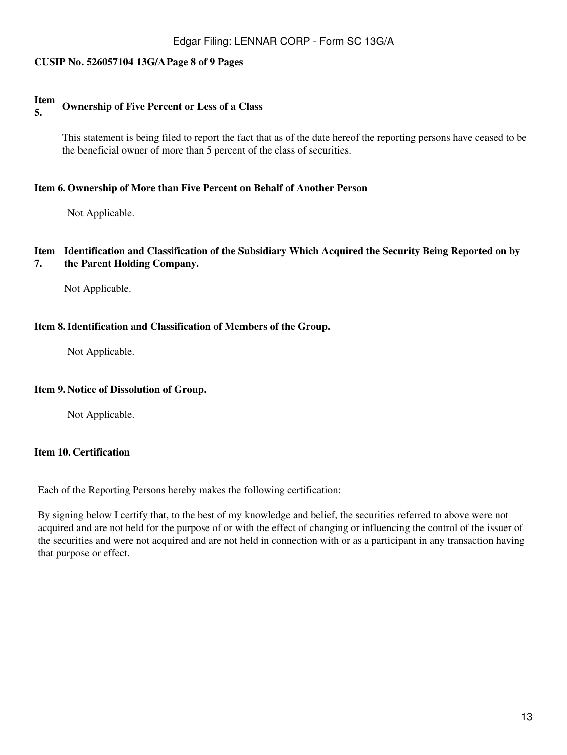### **CUSIP No. 526057104 13G/APage 8 of 9 Pages**

#### **Item 5. Ownership of Five Percent or Less of a Class**

This statement is being filed to report the fact that as of the date hereof the reporting persons have ceased to be the beneficial owner of more than 5 percent of the class of securities.

### **Item 6. Ownership of More than Five Percent on Behalf of Another Person**

Not Applicable.

#### **Item Identification and Classification of the Subsidiary Which Acquired the Security Being Reported on by 7. the Parent Holding Company.**

Not Applicable.

### **Item 8.Identification and Classification of Members of the Group.**

Not Applicable.

### **Item 9. Notice of Dissolution of Group.**

Not Applicable.

### **Item 10. Certification**

Each of the Reporting Persons hereby makes the following certification:

By signing below I certify that, to the best of my knowledge and belief, the securities referred to above were not acquired and are not held for the purpose of or with the effect of changing or influencing the control of the issuer of the securities and were not acquired and are not held in connection with or as a participant in any transaction having that purpose or effect.